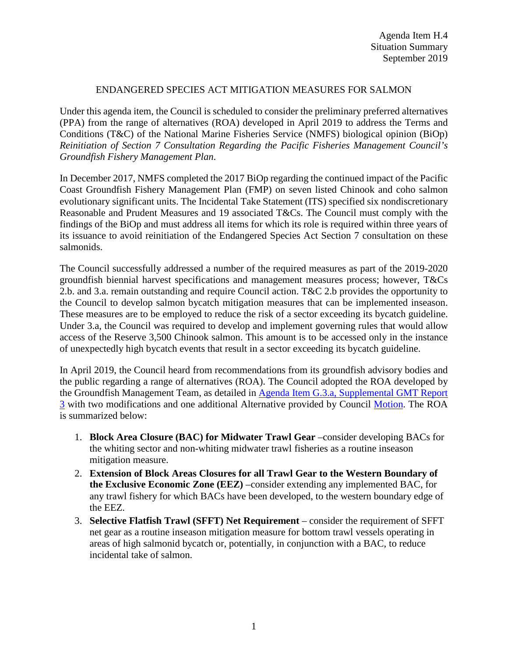### ENDANGERED SPECIES ACT MITIGATION MEASURES FOR SALMON

Under this agenda item, the Council is scheduled to consider the preliminary preferred alternatives (PPA) from the range of alternatives (ROA) developed in April 2019 to address the Terms and Conditions (T&C) of the National Marine Fisheries Service (NMFS) biological opinion (BiOp) *Reinitiation of Section 7 Consultation Regarding the Pacific Fisheries Management Council's Groundfish Fishery Management Plan*.

In December 2017, NMFS completed the 2017 BiOp regarding the continued impact of the Pacific Coast Groundfish Fishery Management Plan (FMP) on seven listed Chinook and coho salmon evolutionary significant units. The Incidental Take Statement (ITS) specified six nondiscretionary Reasonable and Prudent Measures and 19 associated T&Cs. The Council must comply with the findings of the BiOp and must address all items for which its role is required within three years of its issuance to avoid reinitiation of the Endangered Species Act Section 7 consultation on these salmonids.

The Council successfully addressed a number of the required measures as part of the 2019-2020 groundfish biennial harvest specifications and management measures process; however, T&Cs 2.b. and 3.a. remain outstanding and require Council action. T&C 2.b provides the opportunity to the Council to develop salmon bycatch mitigation measures that can be implemented inseason. These measures are to be employed to reduce the risk of a sector exceeding its bycatch guideline. Under 3.a, the Council was required to develop and implement governing rules that would allow access of the Reserve 3,500 Chinook salmon. This amount is to be accessed only in the instance of unexpectedly high bycatch events that result in a sector exceeding its bycatch guideline.

In April 2019, the Council heard from recommendations from its groundfish advisory bodies and the public regarding a range of alternatives (ROA). The Council adopted the ROA developed by the Groundfish Management Team, as detailed in [Agenda Item G.3.a, Supplemental](https://www.pcouncil.org/wp-content/uploads/2019/04/G3a_Supp_GMT_Rpt3_APR2019BB.pdf) GMT Report [3](https://www.pcouncil.org/wp-content/uploads/2019/04/G3a_Supp_GMT_Rpt3_APR2019BB.pdf) with two modifications and one additional Alternative provided by Council [Motion.](https://www.pcouncil.org/wp-content/uploads/2019/04/G3_CouncilAction_APR2019.pdf) The ROA is summarized below:

- 1. **Block Area Closure (BAC) for Midwater Trawl Gear** –consider developing BACs for the whiting sector and non-whiting midwater trawl fisheries as a routine inseason mitigation measure.
- 2. **Extension of Block Areas Closures for all Trawl Gear to the Western Boundary of the Exclusive Economic Zone (EEZ)** –consider extending any implemented BAC, for any trawl fishery for which BACs have been developed, to the western boundary edge of the EEZ.
- 3. **Selective Flatfish Trawl (SFFT) Net Requirement** consider the requirement of SFFT net gear as a routine inseason mitigation measure for bottom trawl vessels operating in areas of high salmonid bycatch or, potentially, in conjunction with a BAC, to reduce incidental take of salmon.